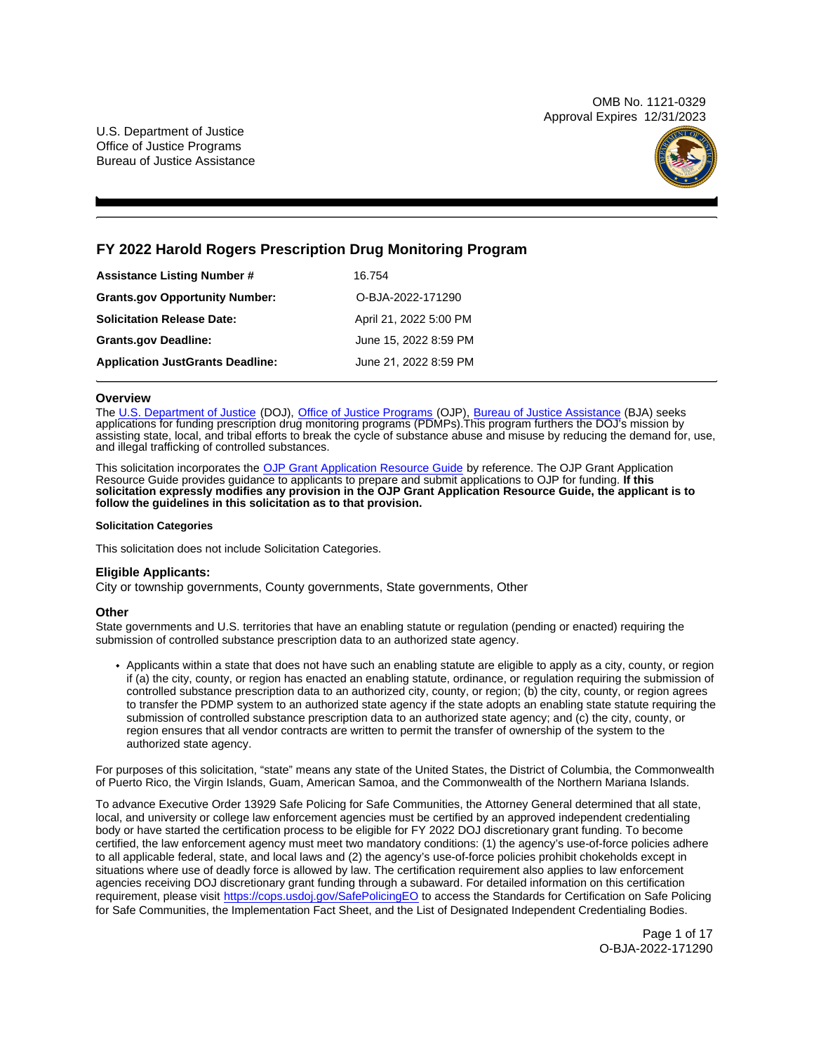OMB No. 1121-0329 Approval Expires 12/31/2023

U.S. Department of Justice Office of Justice Programs Bureau of Justice Assistance



# **FY 2022 Harold Rogers Prescription Drug Monitoring Program**

| <b>Assistance Listing Number #</b>      | 16.754                 |
|-----------------------------------------|------------------------|
| <b>Grants.gov Opportunity Number:</b>   | O-BJA-2022-171290      |
| <b>Solicitation Release Date:</b>       | April 21, 2022 5:00 PM |
| <b>Grants.gov Deadline:</b>             | June 15, 2022 8:59 PM  |
| <b>Application JustGrants Deadline:</b> | June 21, 2022 8:59 PM  |

## **Overview**

The [U.S. Department of Justice](https://www.usdoj.gov/) (DOJ), [Office of Justice Programs](https://www.ojp.usdoj.gov/) (OJP), [Bureau of Justice Assistance](https://bja.ojp.gov/) (BJA) seeks applications for funding prescription drug monitoring programs (PDMPs).This program furthers the DOJ's mission by assisting state, local, and tribal efforts to break the cycle of substance abuse and misuse by reducing the demand for, use, and illegal trafficking of controlled substances.

This solicitation incorporates the [OJP Grant Application Resource Guide](https://www.ojp.gov/funding/Apply/Resources/Grant-App-Resource-Guide.htm) by reference. The OJP Grant Application Resource Guide provides guidance to applicants to prepare and submit applications to OJP for funding. **If this solicitation expressly modifies any provision in the OJP Grant Application Resource Guide, the applicant is to follow the guidelines in this solicitation as to that provision.** 

#### **Solicitation Categories**

This solicitation does not include Solicitation Categories.

## **Eligible Applicants:**

City or township governments, County governments, State governments, Other

## **Other**

State governments and U.S. territories that have an enabling statute or regulation (pending or enacted) requiring the submission of controlled substance prescription data to an authorized state agency.

Applicants within a state that does not have such an enabling statute are eligible to apply as a city, county, or region if (a) the city, county, or region has enacted an enabling statute, ordinance, or regulation requiring the submission of controlled substance prescription data to an authorized city, county, or region; (b) the city, county, or region agrees to transfer the PDMP system to an authorized state agency if the state adopts an enabling state statute requiring the submission of controlled substance prescription data to an authorized state agency; and (c) the city, county, or region ensures that all vendor contracts are written to permit the transfer of ownership of the system to the authorized state agency.

For purposes of this solicitation, "state" means any state of the United States, the District of Columbia, the Commonwealth of Puerto Rico, the Virgin Islands, Guam, American Samoa, and the Commonwealth of the Northern Mariana Islands.

To advance Executive Order 13929 Safe Policing for Safe Communities, the Attorney General determined that all state, local, and university or college law enforcement agencies must be certified by an approved independent credentialing body or have started the certification process to be eligible for FY 2022 DOJ discretionary grant funding. To become certified, the law enforcement agency must meet two mandatory conditions: (1) the agency's use-of-force policies adhere to all applicable federal, state, and local laws and (2) the agency's use-of-force policies prohibit chokeholds except in situations where use of deadly force is allowed by law. The certification requirement also applies to law enforcement agencies receiving DOJ discretionary grant funding through a subaward. For detailed information on this certification requirement, please visit [https://cops.usdoj.gov/SafePolicingEO](https://cops.usdoj.gov/SafePolicingEO%20) to access the Standards for Certification on Safe Policing for Safe Communities, the Implementation Fact Sheet, and the List of Designated Independent Credentialing Bodies.

> Page 1 of 17 O-BJA-2022-171290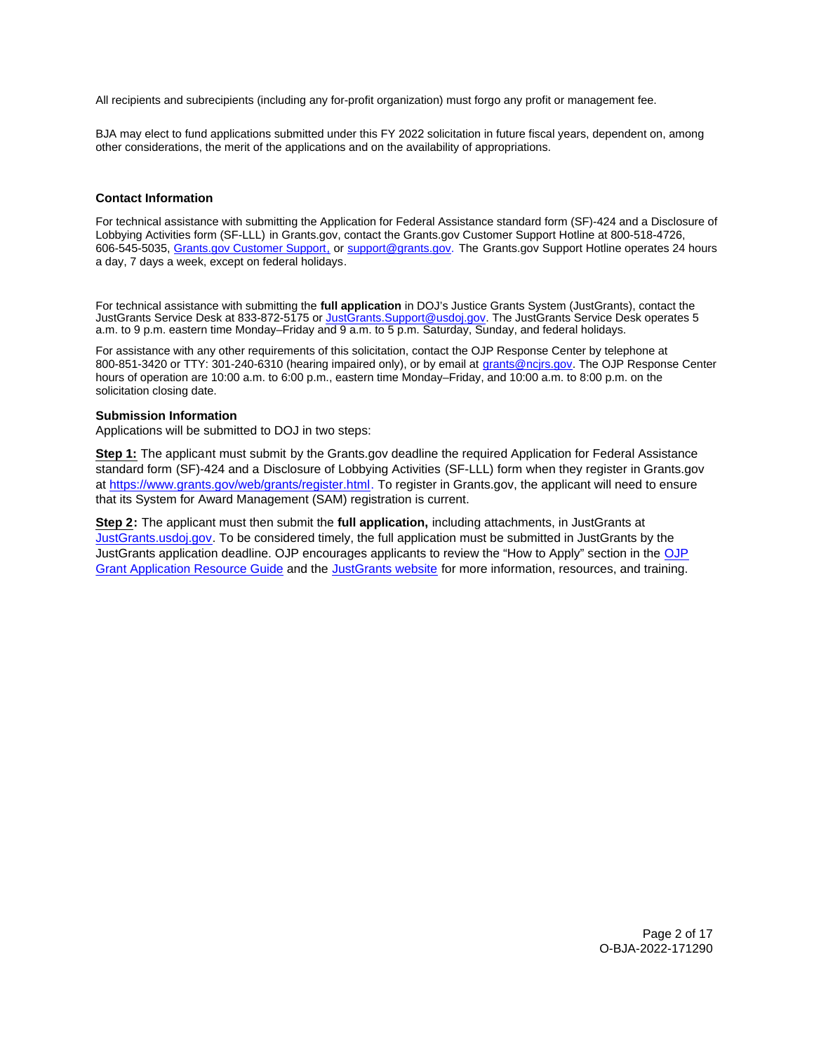<span id="page-1-0"></span>All recipients and subrecipients (including any for-profit organization) must forgo any profit or management fee.

BJA may elect to fund applications submitted under this FY 2022 solicitation in future fiscal years, dependent on, among other considerations, the merit of the applications and on the availability of appropriations.

## **Contact Information**

For technical assistance with submitting the Application for Federal Assistance standard form (SF)-424 and a Disclosure of Lobbying Activities form (SF-LLL) in [Grants.gov](https://Grants.gov), contact the [Grants.gov](https://Grants.gov) Customer Support Hotline at 800-518-4726, 606-545-5035, [Grants.gov Customer Support,](https://www.grants.gov/web/grants/support.html) or [support@grants.gov.](mailto:support@grants.gov) The [Grants.gov](https://Grants.gov) Support Hotline operates 24 hours a day, 7 days a week, except on federal holidays.

For technical assistance with submitting the **full application** in DOJ's Justice Grants System (JustGrants), contact the JustGrants Service Desk at 833-872-5175 or [JustGrants.Support@usdoj.gov.](mailto:JustGrants.Support@usdoj.gov) The JustGrants Service Desk operates 5 a.m. to 9 p.m. eastern time Monday–Friday and 9 a.m. to 5 p.m. Saturday, Sunday, and federal holidays.

For assistance with any other requirements of this solicitation, contact the OJP Response Center by telephone at 800-851-3420 or TTY: 301-240-6310 (hearing impaired only), or by email at [grants@ncjrs.gov.](mailto:grants@ncjrs.gov) The OJP Response Center hours of operation are 10:00 a.m. to 6:00 p.m., eastern time Monday–Friday, and 10:00 a.m. to 8:00 p.m. on the solicitation closing date.

#### **Submission Information**

Applications will be submitted to DOJ in two steps:

**Step 1:** The applicant must submit by the [Grants.gov](https://Grants.gov) deadline the required Application for Federal Assistance standard form (SF)-424 and a Disclosure of Lobbying Activities (SF-LLL) form when they register in [Grants.gov](https://Grants.gov)  at [https://www.grants.gov/web/grants/register.html.](https://www.grants.gov/web/grants/register.html) To register in [Grants.gov,](https://Grants.gov) the applicant will need to ensure that its System for Award Management (SAM) registration is current.

**Step 2:** The applicant must then submit the **full application,** including attachments, in JustGrants at [JustGrants.usdoj.gov.](https://justicegrants.usdoj.gov/) To be considered timely, the full application must be submitted in JustGrants by the JustGrants application deadline. OJP encourages applicants to review the "How to Apply" section in the [OJP](https://www.ojp.gov/funding/apply/ojp-grant-application-resource-guide#apply) [Grant Application Resource Guide](https://www.ojp.gov/funding/apply/ojp-grant-application-resource-guide#apply) and the [JustGrants website](https://justicegrants.usdoj.gov/news) for more information, resources, and training.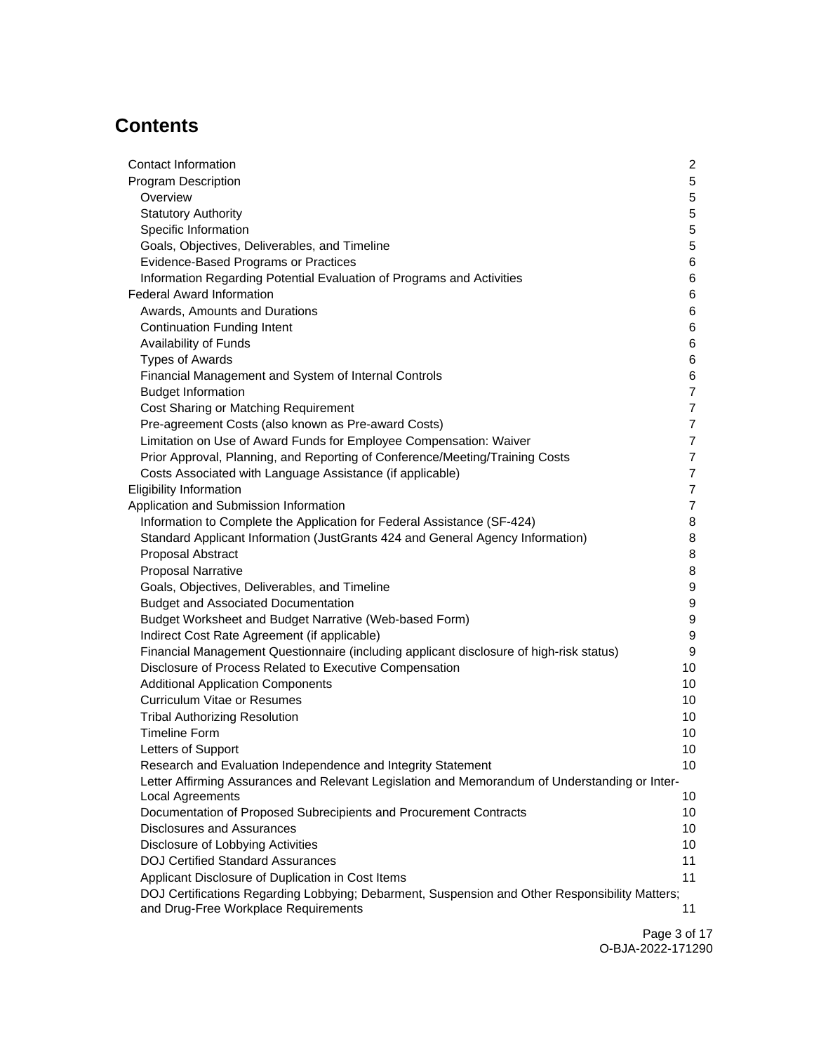# **Contents**

| <b>Contact Information</b>                                                                     | $\mathbf{2}$     |
|------------------------------------------------------------------------------------------------|------------------|
| <b>Program Description</b>                                                                     | 5                |
| Overview                                                                                       | 5                |
| <b>Statutory Authority</b>                                                                     | 5                |
| Specific Information                                                                           | 5                |
| Goals, Objectives, Deliverables, and Timeline                                                  | 5                |
| Evidence-Based Programs or Practices                                                           | 6                |
| Information Regarding Potential Evaluation of Programs and Activities                          | 6                |
| <b>Federal Award Information</b>                                                               | 6                |
| Awards, Amounts and Durations                                                                  | 6                |
| <b>Continuation Funding Intent</b>                                                             | 6                |
| <b>Availability of Funds</b>                                                                   | 6                |
| <b>Types of Awards</b>                                                                         | 6                |
| Financial Management and System of Internal Controls                                           | 6                |
| <b>Budget Information</b>                                                                      | $\overline{7}$   |
| Cost Sharing or Matching Requirement                                                           | 7                |
| Pre-agreement Costs (also known as Pre-award Costs)                                            | 7                |
| Limitation on Use of Award Funds for Employee Compensation: Waiver                             | 7                |
| Prior Approval, Planning, and Reporting of Conference/Meeting/Training Costs                   | $\overline{7}$   |
| Costs Associated with Language Assistance (if applicable)                                      | $\overline{7}$   |
| <b>Eligibility Information</b>                                                                 | $\overline{7}$   |
| Application and Submission Information                                                         | 7                |
| Information to Complete the Application for Federal Assistance (SF-424)                        | 8                |
| Standard Applicant Information (JustGrants 424 and General Agency Information)                 | 8                |
| Proposal Abstract                                                                              | 8                |
| <b>Proposal Narrative</b>                                                                      | 8                |
| Goals, Objectives, Deliverables, and Timeline                                                  | 9                |
| <b>Budget and Associated Documentation</b>                                                     | 9                |
| Budget Worksheet and Budget Narrative (Web-based Form)                                         | 9                |
| Indirect Cost Rate Agreement (if applicable)                                                   | $\boldsymbol{9}$ |
| Financial Management Questionnaire (including applicant disclosure of high-risk status)        | 9                |
| Disclosure of Process Related to Executive Compensation                                        | 10               |
| <b>Additional Application Components</b>                                                       | 10               |
| <b>Curriculum Vitae or Resumes</b>                                                             | 10               |
| <b>Tribal Authorizing Resolution</b>                                                           | 10               |
| <b>Timeline Form</b>                                                                           | 10               |
| Letters of Support                                                                             | 10               |
| Research and Evaluation Independence and Integrity Statement                                   | 10               |
| Letter Affirming Assurances and Relevant Legislation and Memorandum of Understanding or Inter- |                  |
| Local Agreements                                                                               | 10               |
| Documentation of Proposed Subrecipients and Procurement Contracts                              | 10               |
| <b>Disclosures and Assurances</b>                                                              | 10               |
| Disclosure of Lobbying Activities                                                              | 10               |
| <b>DOJ Certified Standard Assurances</b>                                                       | 11               |
| Applicant Disclosure of Duplication in Cost Items                                              | 11               |
| DOJ Certifications Regarding Lobbying; Debarment, Suspension and Other Responsibility Matters; |                  |
| and Drug-Free Workplace Requirements                                                           | 11               |

Page 3 of 17 O-BJA-2022-171290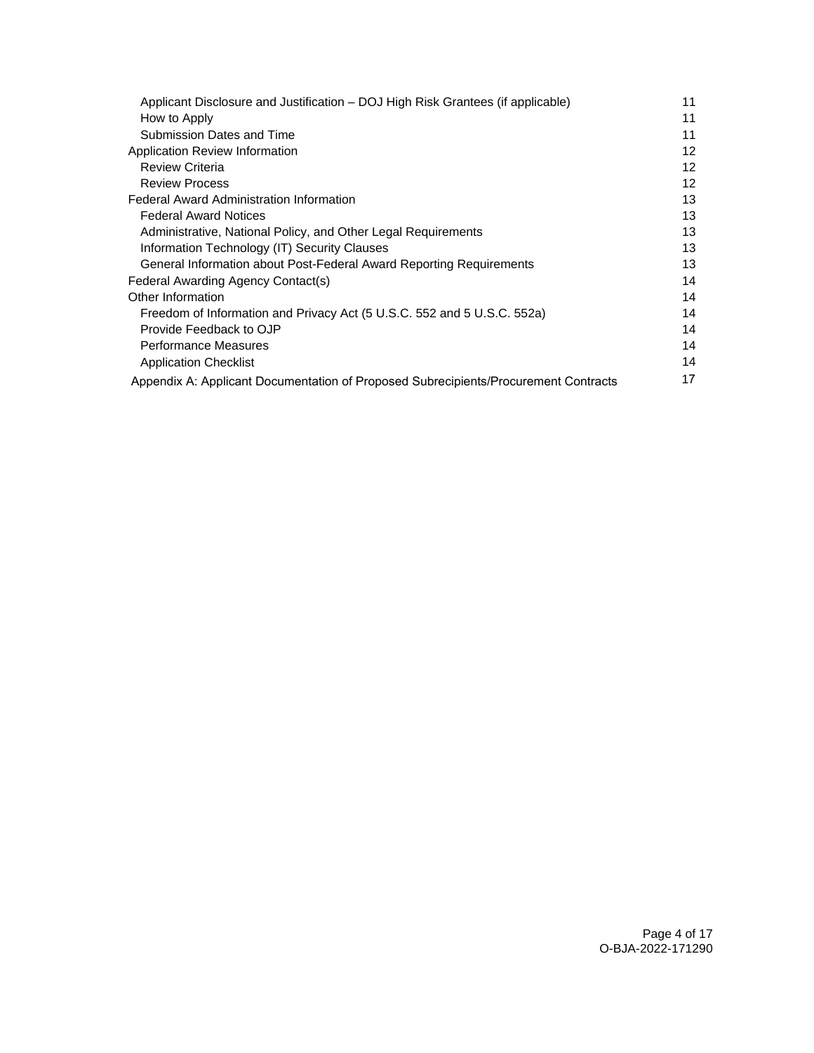| Applicant Disclosure and Justification - DOJ High Risk Grantees (if applicable)     |                 |
|-------------------------------------------------------------------------------------|-----------------|
| How to Apply                                                                        | 11              |
| Submission Dates and Time                                                           | 11              |
| Application Review Information                                                      | 12              |
| <b>Review Criteria</b>                                                              | 12              |
| <b>Review Process</b>                                                               | 12 <sup>2</sup> |
| <b>Federal Award Administration Information</b>                                     | 13              |
| <b>Federal Award Notices</b>                                                        | 13              |
| Administrative, National Policy, and Other Legal Requirements                       | 13              |
| Information Technology (IT) Security Clauses                                        | 13              |
| General Information about Post-Federal Award Reporting Requirements                 | 13              |
| Federal Awarding Agency Contact(s)                                                  | 14              |
| Other Information                                                                   | 14              |
| Freedom of Information and Privacy Act (5 U.S.C. 552 and 5 U.S.C. 552a)             | 14              |
| Provide Feedback to OJP                                                             | 14              |
| <b>Performance Measures</b>                                                         | 14              |
| <b>Application Checklist</b>                                                        | 14              |
| Appendix A: Applicant Documentation of Proposed Subrecipients/Procurement Contracts | 17              |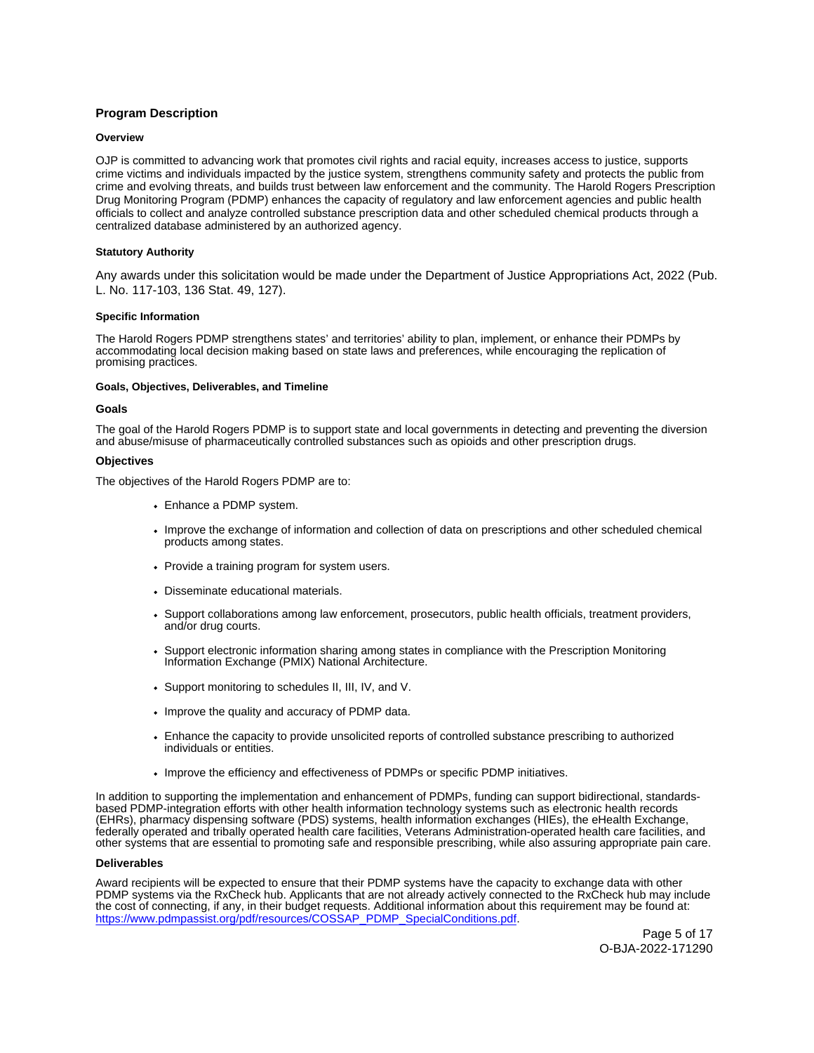# <span id="page-4-0"></span>**Program Description**

## **Overview**

OJP is committed to advancing work that promotes civil rights and racial equity, increases access to justice, supports crime victims and individuals impacted by the justice system, strengthens community safety and protects the public from crime and evolving threats, and builds trust between law enforcement and the community. The Harold Rogers Prescription Drug Monitoring Program (PDMP) enhances the capacity of regulatory and law enforcement agencies and public health officials to collect and analyze controlled substance prescription data and other scheduled chemical products through a centralized database administered by an authorized agency.

#### **Statutory Authority**

Any awards under this solicitation would be made under the Department of Justice Appropriations Act, 2022 (Pub. L. No. 117-103, 136 Stat. 49, 127).

#### **Specific Information**

The Harold Rogers PDMP strengthens states' and territories' ability to plan, implement, or enhance their PDMPs by accommodating local decision making based on state laws and preferences, while encouraging the replication of promising practices.

#### **Goals, Objectives, Deliverables, and Timeline**

#### **Goals**

The goal of the Harold Rogers PDMP is to support state and local governments in detecting and preventing the diversion and abuse/misuse of pharmaceutically controlled substances such as opioids and other prescription drugs.

#### **Objectives**

The objectives of the Harold Rogers PDMP are to:

- Enhance a PDMP system.
- Improve the exchange of information and collection of data on prescriptions and other scheduled chemical products among states.
- Provide a training program for system users.
- Disseminate educational materials.
- Support collaborations among law enforcement, prosecutors, public health officials, treatment providers, and/or drug courts.
- Support electronic information sharing among states in compliance with the Prescription Monitoring Information Exchange (PMIX) National Architecture.
- Support monitoring to schedules II, III, IV, and V.
- Improve the quality and accuracy of PDMP data.
- Enhance the capacity to provide unsolicited reports of controlled substance prescribing to authorized individuals or entities.
- Improve the efficiency and effectiveness of PDMPs or specific PDMP initiatives.

In addition to supporting the implementation and enhancement of PDMPs, funding can support bidirectional, standardsbased PDMP-integration efforts with other health information technology systems such as electronic health records (EHRs), pharmacy dispensing software (PDS) systems, health information exchanges (HIEs), the eHealth Exchange, federally operated and tribally operated health care facilities, Veterans Administration-operated health care facilities, and other systems that are essential to promoting safe and responsible prescribing, while also assuring appropriate pain care.

#### **Deliverables**

Award recipients will be expected to ensure that their PDMP systems have the capacity to exchange data with other PDMP systems via the RxCheck hub. Applicants that are not already actively connected to the RxCheck hub may include the cost of connecting, if any, in their budget requests. Additional information about this requirement may be found at: [https://www.pdmpassist.org/pdf/resources/COSSAP\\_PDMP\\_SpecialConditions.pdf.](https://www.pdmpassist.org/pdf/resources/COSSAP_PDMP_SpecialConditions.pdf)

> Page 5 of 17 O-BJA-2022-171290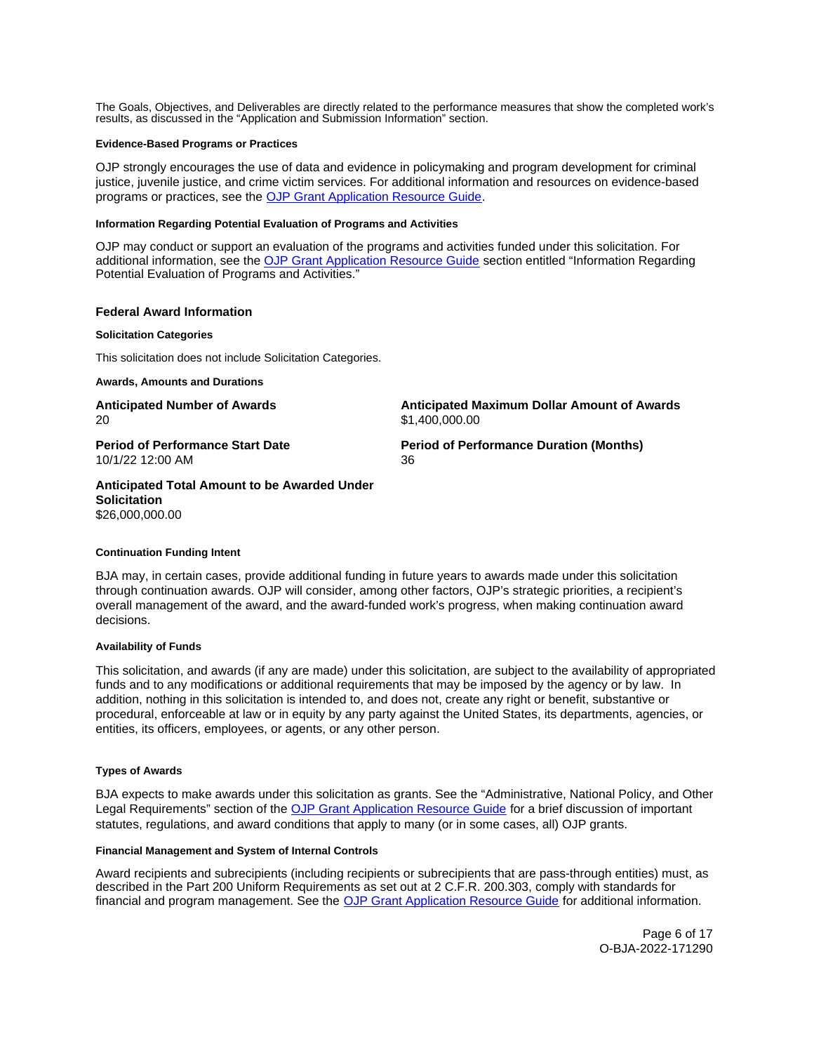<span id="page-5-0"></span>The Goals, Objectives, and Deliverables are directly related to the performance measures that show the completed work's results, as discussed in the "Application and Submission Information" section.

#### **Evidence-Based Programs or Practices**

OJP strongly encourages the use of data and evidence in policymaking and program development for criminal justice, juvenile justice, and crime victim services. For additional information and resources on evidence-based programs or practices, see the [OJP Grant Application Resource Guide.](https://www.ojp.gov/funding/apply/ojp-grant-application-resource-guide#evidence-based)

#### **Information Regarding Potential Evaluation of Programs and Activities**

OJP may conduct or support an evaluation of the programs and activities funded under this solicitation. For additional information, see the [OJP Grant Application Resource Guide](https://www.ojp.gov/funding/apply/ojp-grant-application-resource-guide#potential-evaluation) section entitled "Information Regarding Potential Evaluation of Programs and Activities."

## **Federal Award Information**

#### **Solicitation Categories**

This solicitation does not include Solicitation Categories.

**Awards, Amounts and Durations** 

20 \$[1,400,000.00](https://1,400,000.00)

**Anticipated Number of Awards Anticipated Maximum Dollar Amount of Awards** 

**Period of Performance Start Date**  Period of Performance Duration (Months) 10/1/22 12:00 AM 36

**Anticipated Total Amount to be Awarded Under Solicitation**  [\\$26,000,000.00](https://26,000,000.00) 

#### **Continuation Funding Intent**

BJA may, in certain cases, provide additional funding in future years to awards made under this solicitation through continuation awards. OJP will consider, among other factors, OJP's strategic priorities, a recipient's overall management of the award, and the award-funded work's progress, when making continuation award decisions.

## **Availability of Funds**

This solicitation, and awards (if any are made) under this solicitation, are subject to the availability of appropriated funds and to any modifications or additional requirements that may be imposed by the agency or by law. In addition, nothing in this solicitation is intended to, and does not, create any right or benefit, substantive or procedural, enforceable at law or in equity by any party against the United States, its departments, agencies, or entities, its officers, employees, or agents, or any other person.

## **Types of Awards**

BJA expects to make awards under this solicitation as grants. See the "Administrative, National Policy, and Other Legal Requirements" section of the [OJP Grant Application Resource Guide](https://www.ojp.gov/funding/apply/ojp-grant-application-resource-guide#administrative) for a brief discussion of important statutes, regulations, and award conditions that apply to many (or in some cases, all) OJP grants.

## **Financial Management and System of Internal Controls**

Award recipients and subrecipients (including recipients or subrecipients that are pass-through entities) must, as described in the Part 200 Uniform Requirements as set out at 2 C.F.R. 200.303, comply with standards for financial and program management. See the [OJP Grant Application Resource Guide](https://www.ojp.gov/funding/apply/ojp-grant-application-resource-guide#fm-internal-controls) for additional information.

> Page 6 of 17 O-BJA-2022-171290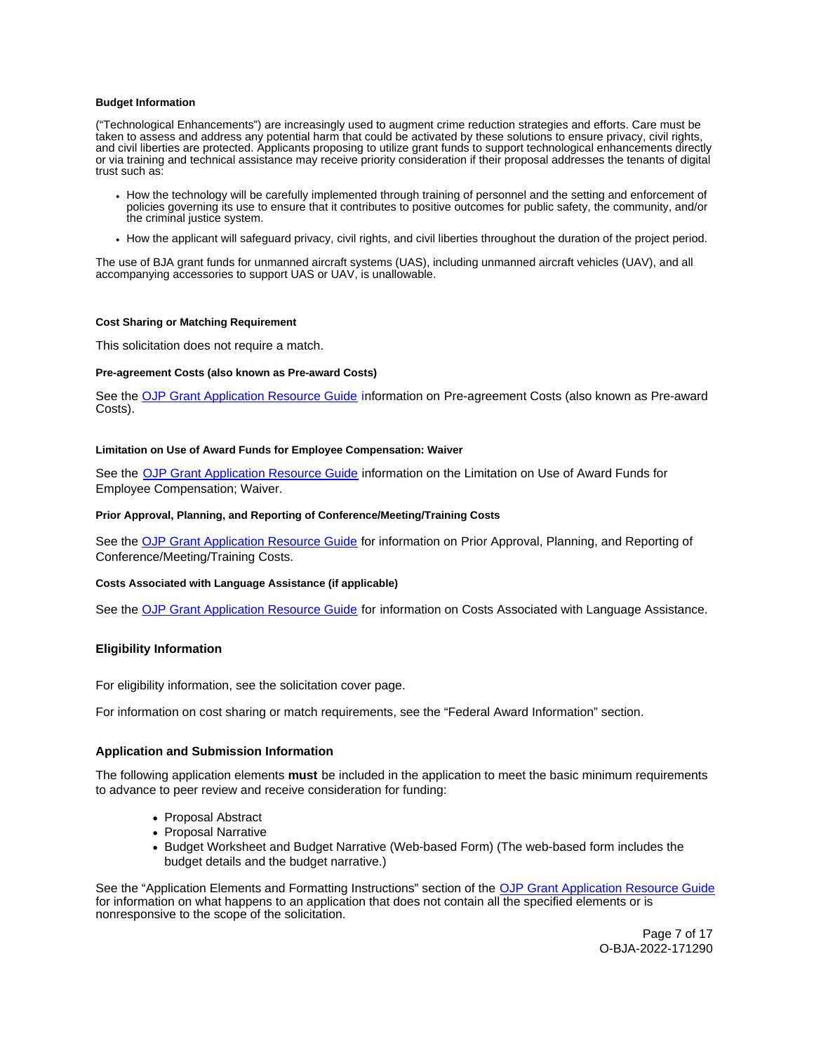#### <span id="page-6-0"></span>**Budget Information**

("Technological Enhancements") are increasingly used to augment crime reduction strategies and efforts. Care must be taken to assess and address any potential harm that could be activated by these solutions to ensure privacy, civil rights, and civil liberties are protected. Applicants proposing to utilize grant funds to support technological enhancements directly or via training and technical assistance may receive priority consideration if their proposal addresses the tenants of digital trust such as:

- How the technology will be carefully implemented through training of personnel and the setting and enforcement of policies governing its use to ensure that it contributes to positive outcomes for public safety, the community, and/or the criminal justice system.
- How the applicant will safeguard privacy, civil rights, and civil liberties throughout the duration of the project period.

The use of BJA grant funds for unmanned aircraft systems (UAS), including unmanned aircraft vehicles (UAV), and all accompanying accessories to support UAS or UAV, is unallowable.

#### **Cost Sharing or Matching Requirement**

This solicitation does not require a match.

## **Pre-agreement Costs (also known as Pre-award Costs)**

See the [OJP Grant Application Resource Guide](https://www.ojp.gov/funding/apply/ojp-grant-application-resource-guide#pre-agreement-costs) information on Pre-agreement Costs (also known as Pre-award Costs).

#### **Limitation on Use of Award Funds for Employee Compensation: Waiver**

See the [OJP Grant Application Resource Guide](https://www.ojp.gov/funding/apply/ojp-grant-application-resource-guide#limitation-use-award) information on the Limitation on Use of Award Funds for Employee Compensation; Waiver.

#### **Prior Approval, Planning, and Reporting of Conference/Meeting/Training Costs**

See the [OJP Grant Application Resource Guide](https://www.ojp.gov/funding/apply/ojp-grant-application-resource-guide#prior-approval) for information on Prior Approval, Planning, and Reporting of Conference/Meeting/Training Costs.

## **Costs Associated with Language Assistance (if applicable)**

See the [OJP Grant Application Resource Guide](https://www.ojp.gov/funding/apply/ojp-grant-application-resource-guide#costs-associated) for information on Costs Associated with Language Assistance.

## **Eligibility Information**

For eligibility information, see the solicitation cover page.

For information on cost sharing or match requirements, see the "Federal Award Information" section.

## **Application and Submission Information**

The following application elements **must** be included in the application to meet the basic minimum requirements to advance to peer review and receive consideration for funding:

- Proposal Abstract
- Proposal Narrative
- Budget Worksheet and Budget Narrative (Web-based Form) (The web-based form includes the budget details and the budget narrative.)

See the "Application Elements and Formatting Instructions" section of the [OJP Grant Application Resource Guide](https://www.ojp.gov/funding/apply/ojp-grant-application-resource-guide#application-elements)  for information on what happens to an application that does not contain all the specified elements or is nonresponsive to the scope of the solicitation.

> Page 7 of 17 O-BJA-2022-171290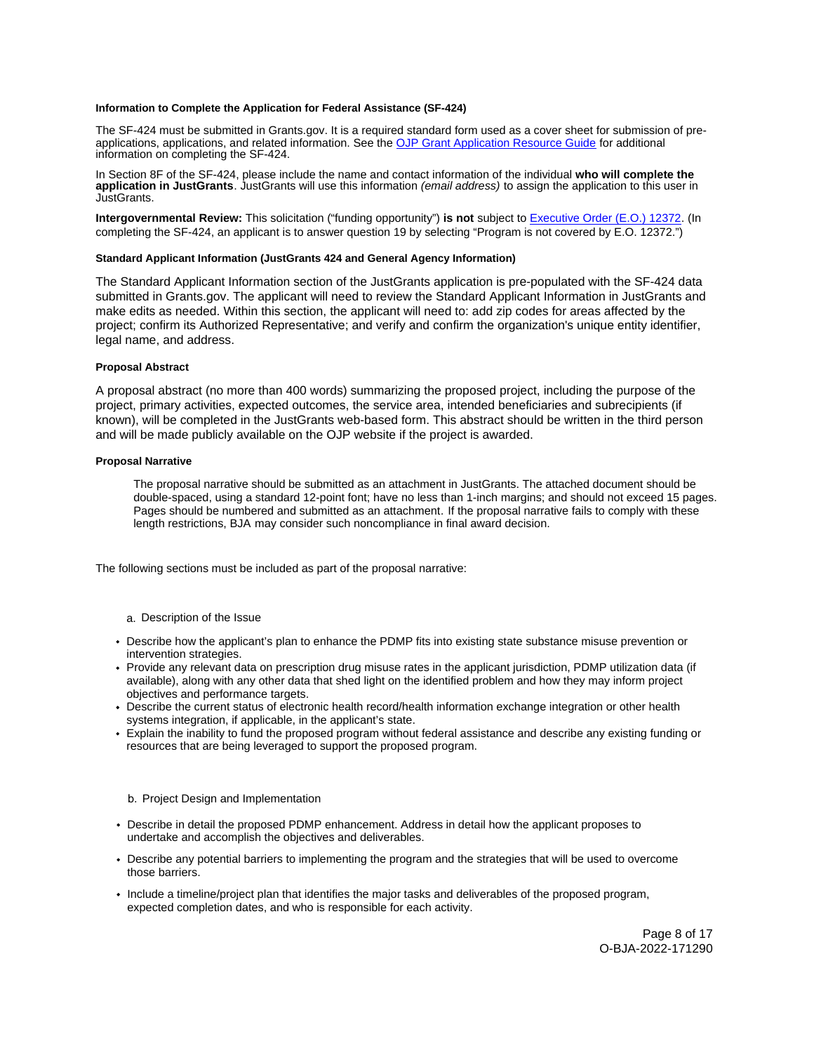#### <span id="page-7-0"></span>**Information to Complete the Application for Federal Assistance (SF-424)**

The SF-424 must be submitted in [Grants.gov](https://Grants.gov). It is a required standard form used as a cover sheet for submission of preapplications, applications, and related information. See the [OJP Grant Application Resource Guide](https://www.ojp.gov/funding/apply/ojp-grant-application-resource-guide#complete-application) for additional information on completing the SF-424.

In Section 8F of the SF-424, please include the name and contact information of the individual **who will complete the application in JustGrants**. JustGrants will use this information (email address) to assign the application to this user in JustGrants.

**Intergovernmental Review:** This solicitation ("funding opportunity") **is not** subject to [Executive Order \(E.O.\) 12372.](https://www.archives.gov/federal-register/codification/executive-order/12372.html) (In completing the SF-424, an applicant is to answer question 19 by selecting "Program is not covered by E.O. 12372.")

#### **Standard Applicant Information (JustGrants 424 and General Agency Information)**

The Standard Applicant Information section of the JustGrants application is pre-populated with the SF-424 data submitted in [Grants.gov](https://Grants.gov). The applicant will need to review the Standard Applicant Information in JustGrants and make edits as needed. Within this section, the applicant will need to: add zip codes for areas affected by the project; confirm its Authorized Representative; and verify and confirm the organization's unique entity identifier, legal name, and address.

#### **Proposal Abstract**

A proposal abstract (no more than 400 words) summarizing the proposed project, including the purpose of the project, primary activities, expected outcomes, the service area, intended beneficiaries and subrecipients (if known), will be completed in the JustGrants web-based form. This abstract should be written in the third person and will be made publicly available on the OJP website if the project is awarded.

#### **Proposal Narrative**

The proposal narrative should be submitted as an attachment in JustGrants. The attached document should be double-spaced, using a standard 12-point font; have no less than 1-inch margins; and should not exceed 15 pages. Pages should be numbered and submitted as an attachment. If the proposal narrative fails to comply with these length restrictions, BJA may consider such noncompliance in final award decision.

The following sections must be included as part of the proposal narrative:

## a. Description of the Issue

- Describe how the applicant's plan to enhance the PDMP fits into existing state substance misuse prevention or intervention strategies.
- Provide any relevant data on prescription drug misuse rates in the applicant jurisdiction, PDMP utilization data (if available), along with any other data that shed light on the identified problem and how they may inform project objectives and performance targets.
- Describe the current status of electronic health record/health information exchange integration or other health systems integration, if applicable, in the applicant's state.
- Explain the inability to fund the proposed program without federal assistance and describe any existing funding or resources that are being leveraged to support the proposed program.

#### b. Project Design and Implementation

- Describe in detail the proposed PDMP enhancement. Address in detail how the applicant proposes to undertake and accomplish the objectives and deliverables.
- Describe any potential barriers to implementing the program and the strategies that will be used to overcome those barriers.
- Include a timeline/project plan that identifies the major tasks and deliverables of the proposed program, expected completion dates, and who is responsible for each activity.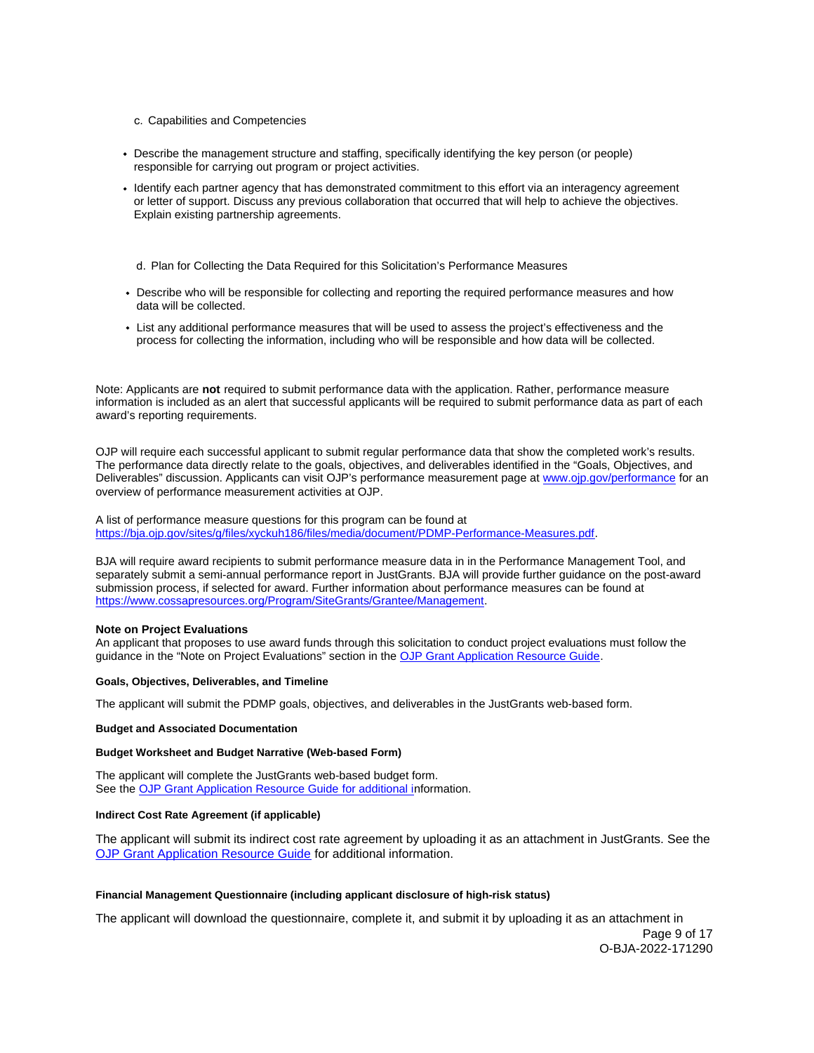- <span id="page-8-0"></span>c. Capabilities and Competencies
- Describe the management structure and staffing, specifically identifying the key person (or people) responsible for carrying out program or project activities.
- Identify each partner agency that has demonstrated commitment to this effort via an interagency agreement or letter of support. Discuss any previous collaboration that occurred that will help to achieve the objectives. Explain existing partnership agreements.

d. Plan for Collecting the Data Required for this Solicitation's Performance Measures

- Describe who will be responsible for collecting and reporting the required performance measures and how data will be collected.
- List any additional performance measures that will be used to assess the project's effectiveness and the process for collecting the information, including who will be responsible and how data will be collected.

Note: Applicants are **not** required to submit performance data with the application. Rather, performance measure information is included as an alert that successful applicants will be required to submit performance data as part of each award's reporting requirements.

OJP will require each successful applicant to submit regular performance data that show the completed work's results. The performance data directly relate to the goals, objectives, and deliverables identified in the "Goals, Objectives, and Deliverables" discussion. Applicants can visit OJP's performance measurement page at [www.ojp.gov/performance](https://www.ojp.gov/performance) for an overview of performance measurement activities at OJP.

A list of performance measure questions for this program can be found at [https://bja.ojp.gov/sites/g/files/xyckuh186/files/media/document/PDMP-Performance-Measures.pdf.](https://bja.ojp.gov/sites/g/files/xyckuh186/files/media/document/PDMP-Performance-Measures.pdf)

BJA will require award recipients to submit performance measure data in in the Performance Management Tool, and separately submit a semi-annual performance report in JustGrants. BJA will provide further guidance on the post-award submission process, if selected for award. Further information about performance measures can be found at [https://www.cossapresources.org/Program/SiteGrants/Grantee/Management.](https://www.cossapresources.org/Program/SiteGrants/Grantee/Management)

# **Note on Project Evaluations**

An applicant that proposes to use award funds through this solicitation to conduct project evaluations must follow the guidance in the "Note on Project Evaluations" section in the [OJP Grant Application Resource Guide.](https://www.ojp.gov/funding/apply/ojp-grant-application-resource-guide#project-evaluations)

## **Goals, Objectives, Deliverables, and Timeline**

The applicant will submit the PDMP goals, objectives, and deliverables in the JustGrants web-based form.

#### **Budget and Associated Documentation**

## **Budget Worksheet and Budget Narrative (Web-based Form)**

The applicant will complete the JustGrants web-based budget form. See the [OJP Grant Application Resource Guide](https://www.ojp.gov/funding/apply/ojp-grant-application-resource-guide#budget-prep) for additional information.

## **Indirect Cost Rate Agreement (if applicable)**

The applicant will submit its indirect cost rate agreement by uploading it as an attachment in JustGrants. See the [OJP Grant Application Resource Guide](https://www.ojp.gov/funding/apply/ojp-grant-application-resource-guide#indirect-cost) for additional information.

## **Financial Management Questionnaire (including applicant disclosure of high-risk status)**

The applicant will download the questionnaire, complete it, and submit it by uploading it as an attachment in

Page 9 of 17 O-BJA-2022-171290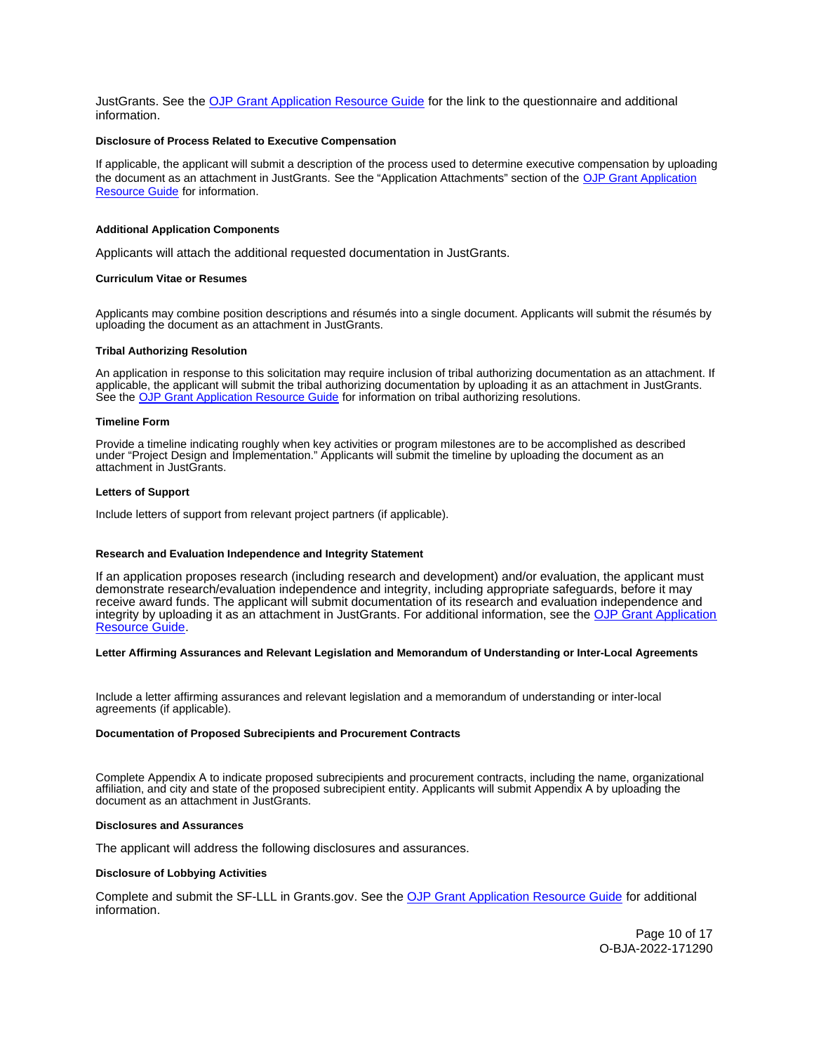<span id="page-9-0"></span>JustGrants. See the [OJP Grant Application Resource Guide](https://www.ojp.gov/funding/apply/ojp-grant-application-resource-guide#fm-internal-controls-questionnaire) for the link to the questionnaire and additional information.

#### **Disclosure of Process Related to Executive Compensation**

If applicable, the applicant will submit a description of the process used to determine executive compensation by uploading the document as an attachment in JustGrants. See the "Application Attachments" section of the [OJP Grant Application](https://www.ojp.gov/funding/apply/ojp-grant-application-resource-guide#disclosure-process-executive) [Resource Guide](https://www.ojp.gov/funding/apply/ojp-grant-application-resource-guide#disclosure-process-executive) for information.

#### **Additional Application Components**

Applicants will attach the additional requested documentation in JustGrants.

#### **Curriculum Vitae or Resumes**

Applicants may combine position descriptions and résumés into a single document. Applicants will submit the résumés by uploading the document as an attachment in JustGrants.

## **Tribal Authorizing Resolution**

An application in response to this solicitation may require inclusion of tribal authorizing documentation as an attachment. If applicable, the applicant will submit the tribal authorizing documentation by uploading it as an attachment in JustGrants. See the [OJP Grant Application Resource Guide](https://www.ojp.gov/funding/apply/ojp-grant-application-resource-guide#tribal-authorizing-resolution) for information on tribal authorizing resolutions.

#### **Timeline Form**

Provide a timeline indicating roughly when key activities or program milestones are to be accomplished as described under "Project Design and Implementation." Applicants will submit the timeline by uploading the document as an attachment in JustGrants.

#### **Letters of Support**

Include letters of support from relevant project partners (if applicable).

## **Research and Evaluation Independence and Integrity Statement**

If an application proposes research (including research and development) and/or evaluation, the applicant must demonstrate research/evaluation independence and integrity, including appropriate safeguards, before it may receive award funds. The applicant will submit documentation of its research and evaluation independence and integrity by uploading it as an attachment in JustGrants. For additional information, see the [OJP Grant Application](https://www.ojp.gov/funding/apply/ojp-grant-application-resource-guide#research-evaluation) [Resource Guide.](https://www.ojp.gov/funding/apply/ojp-grant-application-resource-guide#research-evaluation)

#### **Letter Affirming Assurances and Relevant Legislation and Memorandum of Understanding or Inter-Local Agreements**

Include a letter affirming assurances and relevant legislation and a memorandum of understanding or inter-local agreements (if applicable).

#### **Documentation of Proposed Subrecipients and Procurement Contracts**

Complete Appendix A to indicate proposed subrecipients and procurement contracts, including the name, organizational affiliation, and city and state of the proposed subrecipient entity. Applicants will submit Appendix A by uploading the document as an attachment in JustGrants.

## **Disclosures and Assurances**

The applicant will address the following disclosures and assurances.

#### **Disclosure of Lobbying Activities**

Complete and submit the SF-LLL in [Grants.gov](https://Grants.gov). See the [OJP Grant Application Resource Guide](https://www.ojp.gov/funding/apply/ojp-grant-application-resource-guide#disclosure-lobby) for additional information.

> Page 10 of 17 O-BJA-2022-171290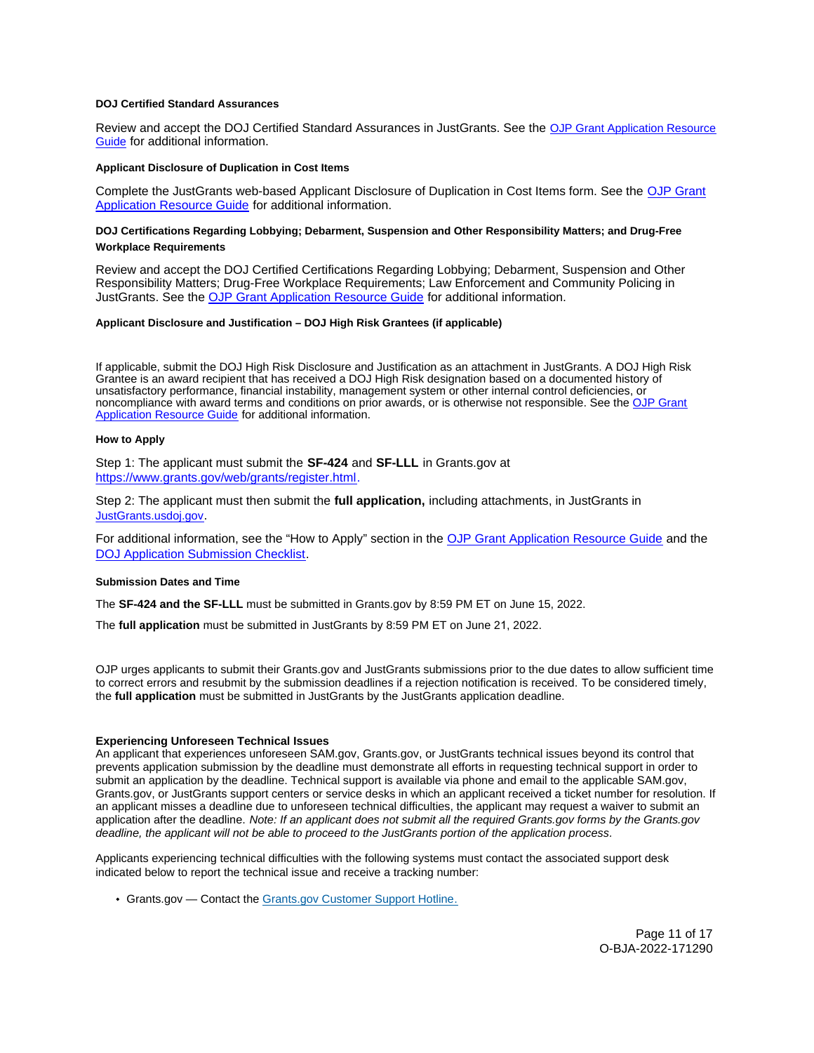## <span id="page-10-0"></span>**DOJ Certified Standard Assurances**

Review and accept the DOJ Certified Standard Assurances in JustGrants. See the [OJP Grant Application Resource](https://www.ojp.gov/funding/apply/ojp-grant-application-resource-guide#administrative)  [Guide](https://www.ojp.gov/funding/apply/ojp-grant-application-resource-guide#administrative) for additional information.

## **Applicant Disclosure of Duplication in Cost Items**

Complete the JustGrants web-based Applicant Disclosure of Duplication in Cost Items form. See the [OJP Grant](https://www.ojp.gov/funding/apply/ojp-grant-application-resource-guide#applicant-disclosure-pending-applications) [Application Resource Guide](https://www.ojp.gov/funding/apply/ojp-grant-application-resource-guide#applicant-disclosure-pending-applications) for additional information.

## **DOJ Certifications Regarding Lobbying; Debarment, Suspension and Other Responsibility Matters; and Drug-Free Workplace Requirements**

Review and accept the DOJ Certified Certifications Regarding Lobbying; Debarment, Suspension and Other Responsibility Matters; Drug-Free Workplace Requirements; Law Enforcement and Community Policing in JustGrants. See the [OJP Grant Application Resource Guide f](https://www.ojp.gov/funding/apply/ojp-grant-application-resource-guide#administrative)or additional information.

## **Applicant Disclosure and Justification – DOJ High Risk Grantees (if applicable)**

If applicable, submit the DOJ High Risk Disclosure and Justification as an attachment in JustGrants. A DOJ High Risk Grantee is an award recipient that has received a DOJ High Risk designation based on a documented history of unsatisfactory performance, financial instability, management system or other internal control deficiencies, or noncompliance with award terms and conditions on prior awards, or is otherwise not responsible. See the [OJP Grant](https://www.ojp.gov/funding/apply/ojp-grant-application-resource-guide#applicant-disclosure-justification)  [Application Resource Guide](https://www.ojp.gov/funding/apply/ojp-grant-application-resource-guide#applicant-disclosure-justification) for additional information.

#### **How to Apply**

Step 1: The applicant must submit the **SF-424** and **SF-LLL** in [Grants.gov](https://Grants.gov) at [https://www.grants.gov/web/grants/register.html.](https://www.grants.gov/web/grants/register.html)

Step 2: The applicant must then submit the **full application,** including attachments, in JustGrants in [JustGrants.usdoj.gov](https://justicegrants.usdoj.gov/).

For additional information, see the "How to Apply" section in the [OJP Grant Application Resource Guide](https://www.ojp.gov/funding/apply/ojp-grant-application-resource-guide#apply) and the [DOJ Application Submission Checklist.](https://justicegrants.usdoj.gov/sites/g/files/xyckuh296/files/media/document/appln-submission-checklist.pdf) 

#### **Submission Dates and Time**

The **SF-424 and the SF-LLL** must be submitted in [Grants.gov](https://Grants.gov) by 8:59 PM ET on June 15, 2022.

The **full application** must be submitted in JustGrants by 8:59 PM ET on June 21, 2022.

OJP urges applicants to submit their [Grants.gov](https://Grants.gov) and JustGrants submissions prior to the due dates to allow sufficient time to correct errors and resubmit by the submission deadlines if a rejection notification is received. To be considered timely, the **full application** must be submitted in JustGrants by the JustGrants application deadline.

#### **Experiencing Unforeseen Technical Issues**

An applicant that experiences unforeseen SAM.gov, [Grants.gov](https://Grants.gov), or JustGrants technical issues beyond its control that prevents application submission by the deadline must demonstrate all efforts in requesting technical support in order to submit an application by the deadline. Technical support is available via phone and email to the applicable SAM.gov, [Grants.gov](https://Grants.gov), or JustGrants support centers or service desks in which an applicant received a ticket number for resolution. If an applicant misses a deadline due to unforeseen technical difficulties, the applicant may request a waiver to submit an application after the deadline. Note: If an applicant does not submit all the required [Grants.gov](https://Grants.gov) forms by the [Grants.gov](https://Grants.gov) deadline, the applicant will not be able to proceed to the JustGrants portion of the application process.

Applicants experiencing technical difficulties with the following systems must contact the associated support desk indicated below to report the technical issue and receive a tracking number:

[Grants.gov](https://Grants.gov) - Contact the [Grants.gov Customer Support Hotline.](https://www.grants.gov/web/grants/support.html)

Page 11 of 17 O-BJA-2022-171290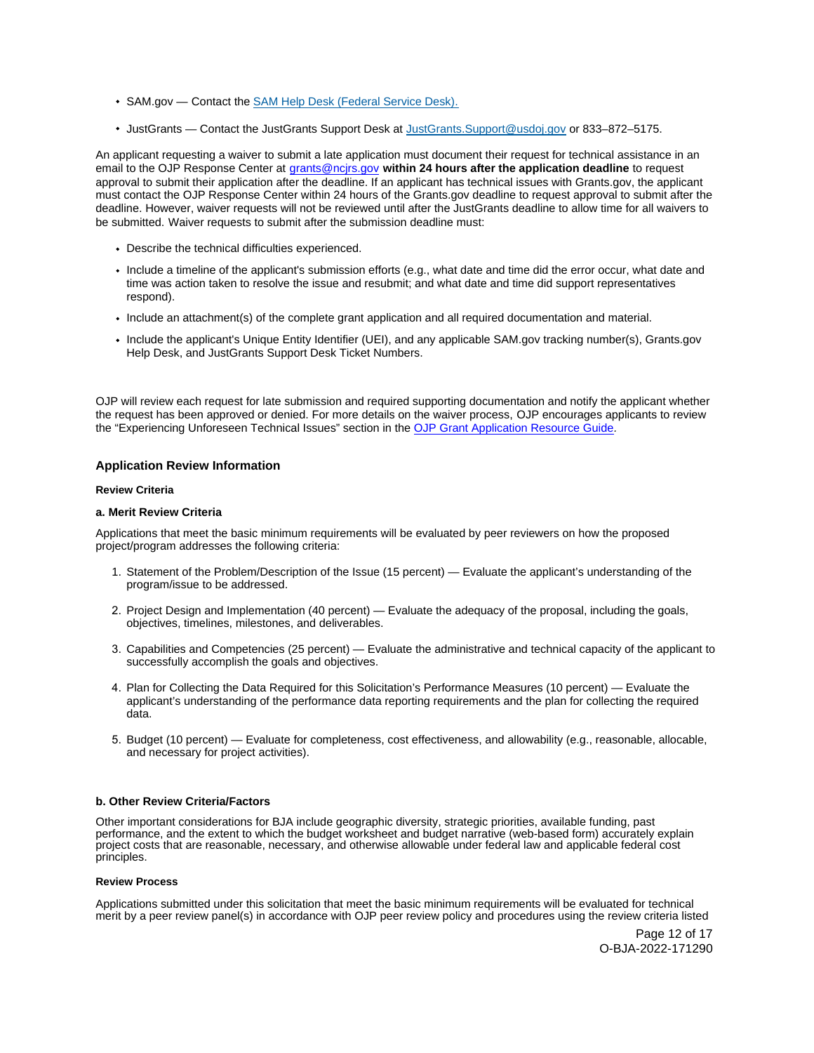- <span id="page-11-0"></span>SAM.gov — Contact the [SAM Help Desk \(Federal Service Desk\).](https://www.fsd.gov/gsafsd_sp)
- JustGrants Contact the JustGrants Support Desk at [JustGrants.Support@usdoj.gov](mailto:JustGrants.Support@usdoj.gov) or 833–872–5175.

An applicant requesting a waiver to submit a late application must document their request for technical assistance in an email to the OJP Response Center at [grants@ncjrs.gov](file:///C:/Users/local_Yehj/INetCache/Content.Outlook/20U4XBR7/grants@ncjrs.gov) **within 24 hours after the application deadline** to request approval to submit their application after the deadline. If an applicant has technical issues with [Grants.gov](https://Grants.gov), the applicant must contact the OJP Response Center within 24 hours of the [Grants.gov](https://Grants.gov) deadline to request approval to submit after the deadline. However, waiver requests will not be reviewed until after the JustGrants deadline to allow time for all waivers to be submitted. Waiver requests to submit after the submission deadline must:

- Describe the technical difficulties experienced.
- Include a timeline of the applicant's submission efforts (e.g., what date and time did the error occur, what date and time was action taken to resolve the issue and resubmit; and what date and time did support representatives respond).
- Include an attachment(s) of the complete grant application and all required documentation and material.
- Include the applicant's Unique Entity Identifier (UEI), and any applicable SAM.gov tracking number(s), Grants.gov Help Desk, and JustGrants Support Desk Ticket Numbers.

OJP will review each request for late submission and required supporting documentation and notify the applicant whether the request has been approved or denied. For more details on the waiver process, OJP encourages applicants to review the "Experiencing Unforeseen Technical Issues" section in the [OJP Grant Application Resource Guide](https://www.ojp.gov/funding/apply/ojp-grant-application-resource-guide#experiencing-unforeseen-technical-issues).

## **Application Review Information**

## **Review Criteria**

## **a. Merit Review Criteria**

Applications that meet the basic minimum requirements will be evaluated by peer reviewers on how the proposed project/program addresses the following criteria:

- 1. Statement of the Problem/Description of the Issue (15 percent) Evaluate the applicant's understanding of the program/issue to be addressed.
- 2. Project Design and Implementation (40 percent) Evaluate the adequacy of the proposal, including the goals, objectives, timelines, milestones, and deliverables.
- 3. Capabilities and Competencies (25 percent) Evaluate the administrative and technical capacity of the applicant to successfully accomplish the goals and objectives.
- 4. Plan for Collecting the Data Required for this Solicitation's Performance Measures (10 percent) Evaluate the applicant's understanding of the performance data reporting requirements and the plan for collecting the required data.
- 5. Budget (10 percent) Evaluate for completeness, cost effectiveness, and allowability (e.g., reasonable, allocable, and necessary for project activities).

## **b. Other Review Criteria/Factors**

Other important considerations for BJA include geographic diversity, strategic priorities, available funding, past performance, and the extent to which the budget worksheet and budget narrative (web-based form) accurately explain project costs that are reasonable, necessary, and otherwise allowable under federal law and applicable federal cost principles.

#### **Review Process**

Applications submitted under this solicitation that meet the basic minimum requirements will be evaluated for technical merit by a peer review panel(s) in accordance with OJP peer review policy and procedures using the review criteria listed

> Page 12 of 17 O-BJA-2022-171290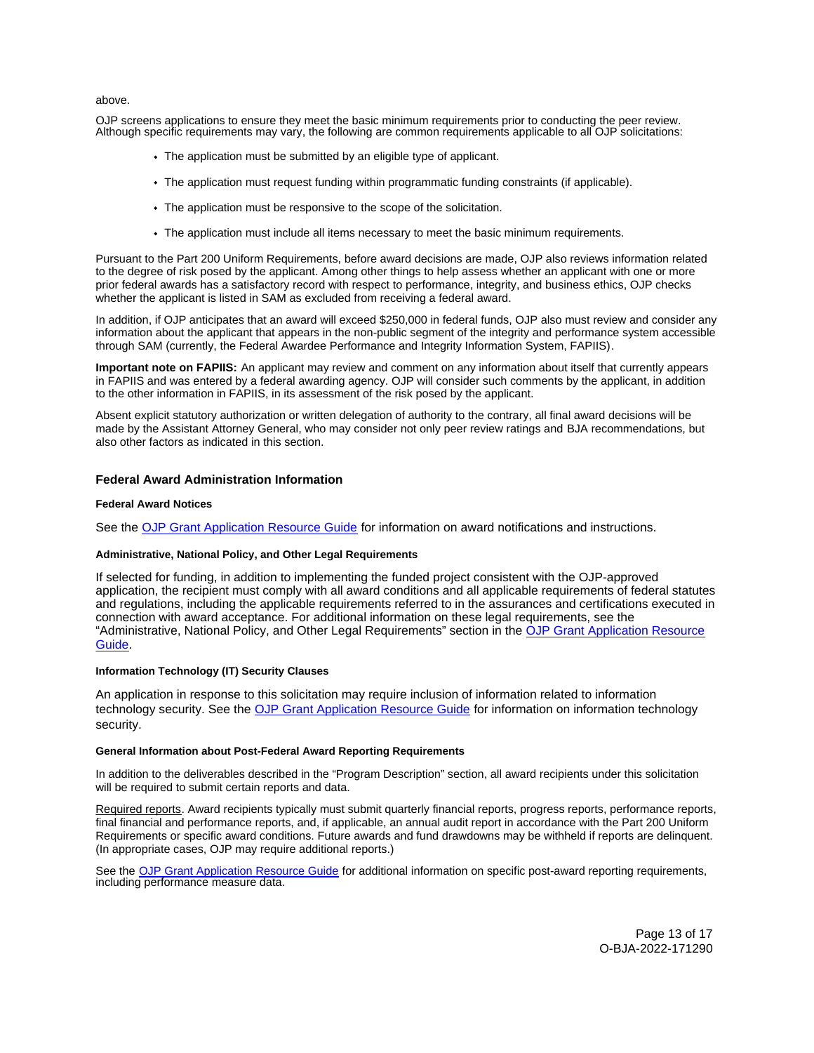<span id="page-12-0"></span>above.

OJP screens applications to ensure they meet the basic minimum requirements prior to conducting the peer review. Although specific requirements may vary, the following are common requirements applicable to all OJP solicitations:

- The application must be submitted by an eligible type of applicant.
- The application must request funding within programmatic funding constraints (if applicable).
- The application must be responsive to the scope of the solicitation.
- The application must include all items necessary to meet the basic minimum requirements.

Pursuant to the Part 200 Uniform Requirements, before award decisions are made, OJP also reviews information related to the degree of risk posed by the applicant. Among other things to help assess whether an applicant with one or more prior federal awards has a satisfactory record with respect to performance, integrity, and business ethics, OJP checks whether the applicant is listed in SAM as excluded from receiving a federal award.

In addition, if OJP anticipates that an award will exceed \$250,000 in federal funds, OJP also must review and consider any information about the applicant that appears in the non-public segment of the integrity and performance system accessible through SAM (currently, the Federal Awardee Performance and Integrity Information System, FAPIIS).

**Important note on FAPIIS:** An applicant may review and comment on any information about itself that currently appears in FAPIIS and was entered by a federal awarding agency. OJP will consider such comments by the applicant, in addition to the other information in FAPIIS, in its assessment of the risk posed by the applicant.

Absent explicit statutory authorization or written delegation of authority to the contrary, all final award decisions will be made by the Assistant Attorney General, who may consider not only peer review ratings and BJA recommendations, but also other factors as indicated in this section.

## **Federal Award Administration Information**

## **Federal Award Notices**

See the [OJP Grant Application Resource Guide](https://www.ojp.gov/funding/apply/ojp-grant-application-resource-guide#federal-award-notices) for information on award notifications and instructions.

## **Administrative, National Policy, and Other Legal Requirements**

If selected for funding, in addition to implementing the funded project consistent with the OJP-approved application, the recipient must comply with all award conditions and all applicable requirements of federal statutes and regulations, including the applicable requirements referred to in the assurances and certifications executed in connection with award acceptance. For additional information on these legal requirements, see the "Administrative, National Policy, and Other Legal Requirements" section in the [OJP Grant Application Resource](https://www.ojp.gov/funding/apply/ojp-grant-application-resource-guide#administrative)  [Guide.](https://www.ojp.gov/funding/apply/ojp-grant-application-resource-guide#administrative)

## **Information Technology (IT) Security Clauses**

An application in response to this solicitation may require inclusion of information related to information technology security. See the [OJP Grant Application Resource Guide](https://www.ojp.gov/funding/apply/ojp-grant-application-resource-guide#information-technology) for information on information technology security.

#### **General Information about Post-Federal Award Reporting Requirements**

In addition to the deliverables described in the "Program Description" section, all award recipients under this solicitation will be required to submit certain reports and data.

Required reports. Award recipients typically must submit quarterly financial reports, progress reports, performance reports, final financial and performance reports, and, if applicable, an annual audit report in accordance with the Part 200 Uniform Requirements or specific award conditions. Future awards and fund drawdowns may be withheld if reports are delinquent. (In appropriate cases, OJP may require additional reports.)

See the [OJP Grant Application Resource Guide](https://www.ojp.gov/funding/apply/ojp-grant-application-resource-guide#general-information) for additional information on specific post-award reporting requirements, including performance measure data.

> Page 13 of 17 O-BJA-2022-171290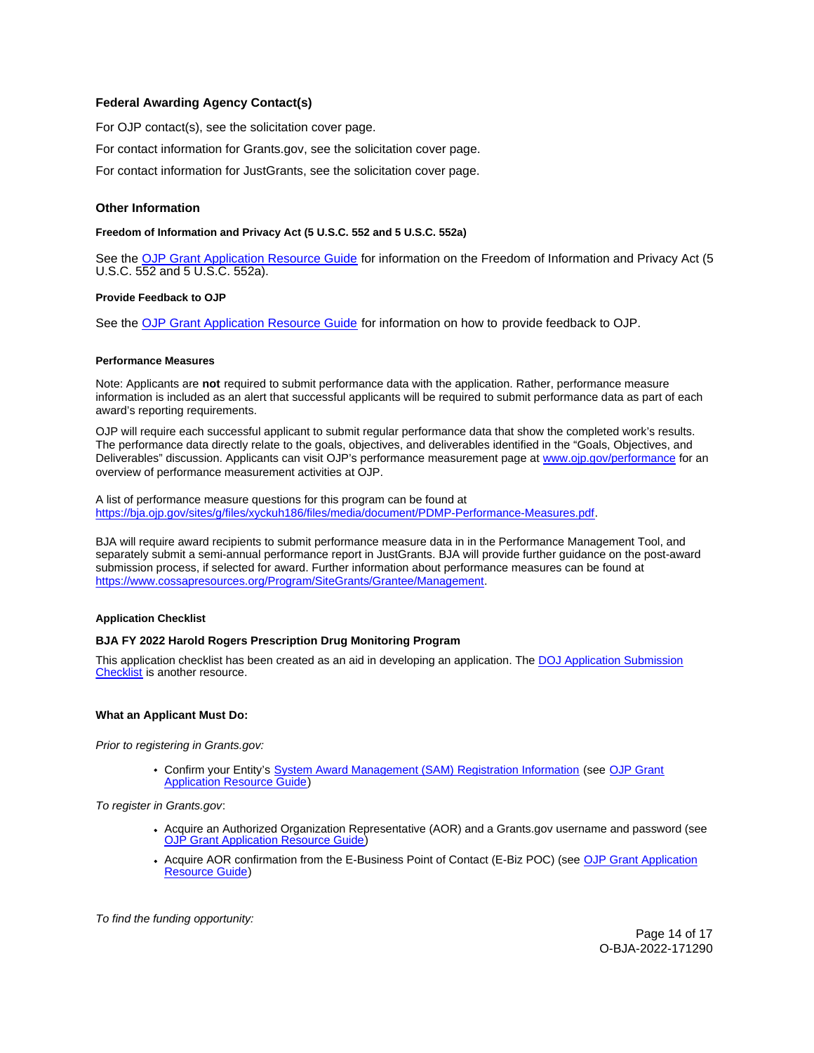# <span id="page-13-0"></span>**Federal Awarding Agency Contact(s)**

For OJP contact(s), see the solicitation cover page.

For contact information for [Grants.gov,](https://Grants.gov) see the solicitation cover page.

For contact information for JustGrants, see the solicitation cover page.

## **Other Information**

## **Freedom of Information and Privacy Act (5 U.S.C. 552 and 5 U.S.C. 552a)**

See the [OJP Grant Application Resource Guide](https://www.ojp.gov/funding/apply/ojp-grant-application-resource-guide#foia) for information on the Freedom of Information and Privacy Act (5 U.S.C. 552 and 5 U.S.C. 552a).

## **Provide Feedback to OJP**

See the [OJP Grant Application Resource Guide](https://www.ojp.gov/funding/apply/ojp-grant-application-resource-guide#feedback) for information on how to provide feedback to OJP.

#### **Performance Measures**

Note: Applicants are **not** required to submit performance data with the application. Rather, performance measure information is included as an alert that successful applicants will be required to submit performance data as part of each award's reporting requirements.

OJP will require each successful applicant to submit regular performance data that show the completed work's results. The performance data directly relate to the goals, objectives, and deliverables identified in the "Goals, Objectives, and Deliverables" discussion. Applicants can visit OJP's performance measurement page at [www.ojp.gov/performance](https://www.ojp.gov/performance) for an overview of performance measurement activities at OJP.

A list of performance measure questions for this program can be found at [https://bja.ojp.gov/sites/g/files/xyckuh186/files/media/document/PDMP-Performance-Measures.pdf.](https://bja.ojp.gov/sites/g/files/xyckuh186/files/media/document/PDMP-Performance-Measures.pdf)

BJA will require award recipients to submit performance measure data in in the Performance Management Tool, and separately submit a semi-annual performance report in JustGrants. BJA will provide further guidance on the post-award submission process, if selected for award. Further information about performance measures can be found at [https://www.cossapresources.org/Program/SiteGrants/Grantee/Management.](https://www.cossapresources.org/Program/SiteGrants/Grantee/Management)

## **Application Checklist**

## **BJA FY 2022 Harold Rogers Prescription Drug Monitoring Program**

This application checklist has been created as an aid in developing an application. The [DOJ Application Submission](https://justicegrants.usdoj.gov/sites/g/files/xyckuh296/files/media/document/appln-submission-checklist.pdf)  [Checklist](https://justicegrants.usdoj.gov/sites/g/files/xyckuh296/files/media/document/appln-submission-checklist.pdf) is another resource.

## **What an Applicant Must Do:**

Prior to registering in [Grants.gov](https://Grants.gov):

Confirm your Entity's [System Award Management \(SAM\)](https://sam.gov/SAM/) Registration Information (see [OJP Grant](https://www.ojp.gov/funding/apply/ojp-grant-application-resource-guide#apply)  [Application Resource Guide\)](https://www.ojp.gov/funding/apply/ojp-grant-application-resource-guide#apply)

To register in [Grants.gov](https://Grants.gov):

- [Acquire an Authorized Organization Rep](https://www.ojp.gov/funding/apply/ojp-grant-application-resource-guide#apply)resentative (AOR) and a [Grants.gov](https://Grants.gov) username and password (see [OJP Grant Application Resource Guide\)](https://www.ojp.gov/funding/apply/ojp-grant-application-resource-guide#apply)
- Acquire AOR confirmation from the E-Business Point of Contact (E-Biz POC) (see OJP Grant Application [Resource Guide\)](https://www.ojp.gov/funding/apply/ojp-grant-application-resource-guide#apply)

To find the funding opportunity: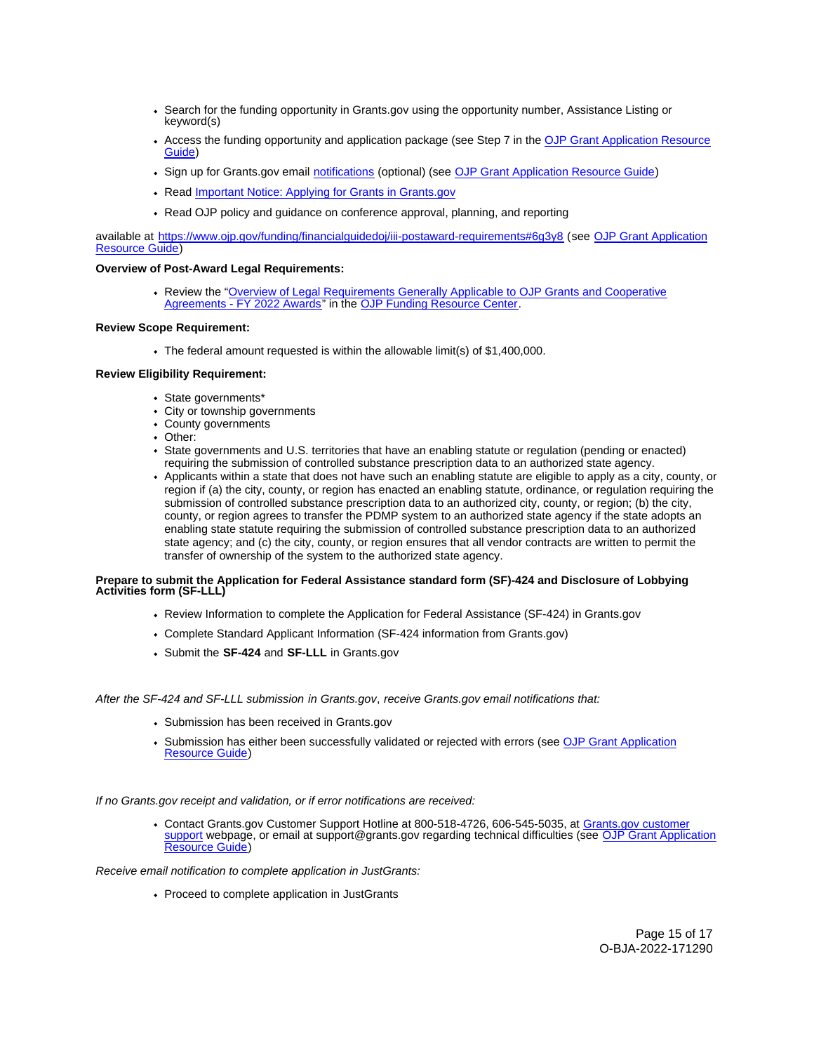- Search for the funding opportunity in [Grants.gov](https://Grants.gov) using the opportunity number, Assistance Listing or keyword(s)
- Access the funding opportunity and application package (see Step 7 in the [OJP Grant Application Resource](https://www.ojp.gov/funding/apply/ojp-grant-application-resource-guide#apply)  [Guide\)](https://www.ojp.gov/funding/apply/ojp-grant-application-resource-guide#apply)
- Sign up for [Grants.gov](https://Grants.gov) email [notifications](https://www.grants.gov/web/grants/manage-subscriptions.html) (optional) (see [OJP Grant Application Resource Guide\)](https://www.ojp.gov/funding/apply/ojp-grant-application-resource-guide#apply)
- Read Important Notice: Applying for Grants in Grants.gov
- Read OJP policy and guidance on conference approval, planning, and reporting

available at <https://www.ojp.gov/funding/financialguidedoj/iii-postaward-requirements#6g3y8>(see [OJP Grant Application](https://www.ojp.gov/funding/apply/ojp-grant-application-resource-guide#prior-approval)  [Resource Guide\)](https://www.ojp.gov/funding/apply/ojp-grant-application-resource-guide#prior-approval)

## **Overview of Post-Award Legal Requirements:**

Review the "[Overview of Legal Requirements Generally Applicable to OJP Grants and Cooperative](https://www.ojp.gov/funding/explore/legal-overview-awards)  [Agreements - FY 2022 Awards"](https://www.ojp.gov/funding/explore/legal-overview-awards) in the [OJP Funding Resource Center.](https://www.ojp.gov/funding/explore/legal-overview-awards)

## **Review Scope Requirement:**

The federal amount requested is within the allowable limit(s) of \$1,400,000.

## **Review Eligibility Requirement:**

- State governments\*
- City or township governments
- County governments
- Other:
- State governments and U.S. territories that have an enabling statute or regulation (pending or enacted) requiring the submission of controlled substance prescription data to an authorized state agency.
- Applicants within a state that does not have such an enabling statute are eligible to apply as a city, county, or region if (a) the city, county, or region has enacted an enabling statute, ordinance, or regulation requiring the submission of controlled substance prescription data to an authorized city, county, or region; (b) the city, county, or region agrees to transfer the PDMP system to an authorized state agency if the state adopts an enabling state statute requiring the submission of controlled substance prescription data to an authorized state agency; and (c) the city, county, or region ensures that all vendor contracts are written to permit the transfer of ownership of the system to the authorized state agency.

## **Prepare to submit the Application for Federal Assistance standard form (SF)-424 and Disclosure of Lobbying Activities form (SF-LLL)**

- Review Information to complete the Application for Federal Assistance (SF-424) in [Grants.gov](https://Grants.gov)
- Complete Standard Applicant Information (SF-424 information from [Grants.gov\)](https://Grants.gov)
- Submit the **SF-424** and **SF-LLL** in [Grants.gov](https://Grants.gov)

#### After the SF-424 and SF-LLL submission in [Grants.gov](https://Grants.gov), receive [Grants.gov](https://Grants.gov) email notifications that:

- Submission has been received in [Grants.gov](https://Grants.gov)
- Submission has either been successfully validated or rejected with errors (see OJP Grant Application [Resource Guide\)](https://www.ojp.gov/funding/apply/ojp-grant-application-resource-guide#apply)

If no [Grants.gov](https://Grants.gov) receipt and validation, or if error notifications are received:

Contact [Grants.gov](https://Grants.gov) Customer Support Hotline at 800-518-4726, 606-545-5035, at [Grants.gov customer](https://www.grants.gov/web/grants/support.html)  [support](https://www.grants.gov/web/grants/support.html) webpage, or email at [support@grants.gov](mailto:support@grants.gov) regarding technical difficulties (see OJP Grant Application [Resource Guide\)](https://www.ojp.gov/funding/apply/ojp-grant-application-resource-guide#apply)

Receive email notification to complete application in JustGrants:

• Proceed to complete application in JustGrants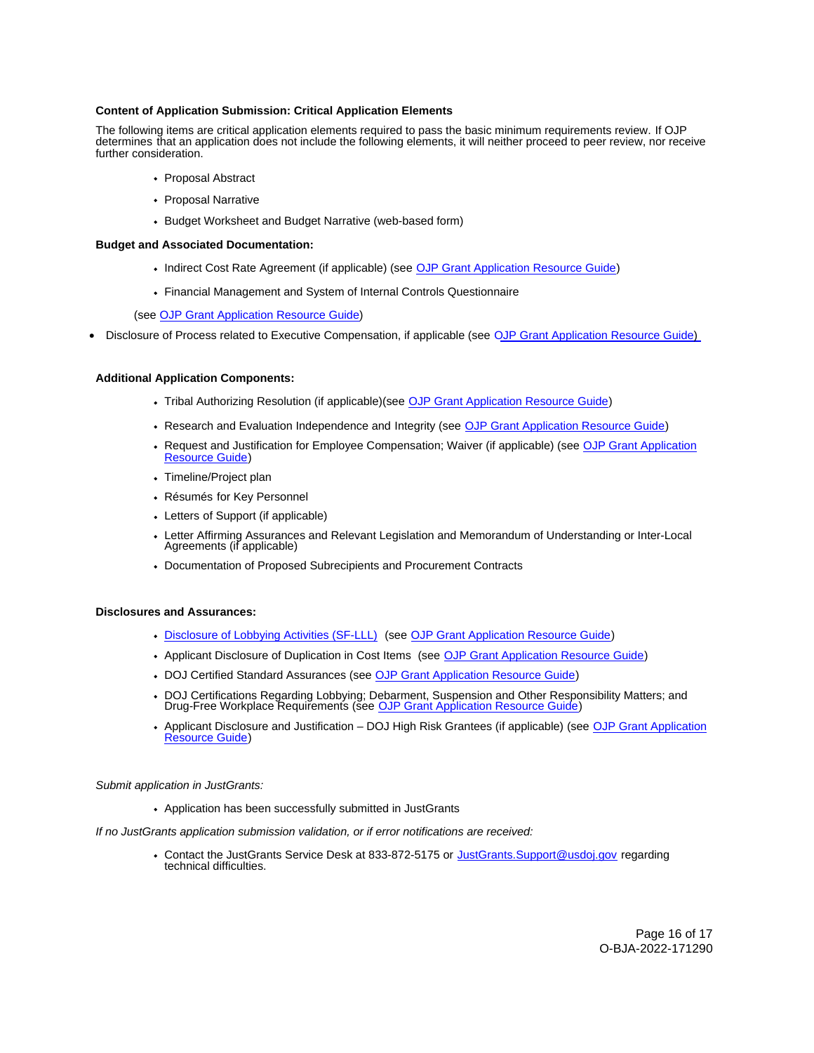## **Content of Application Submission: Critical Application Elements**

The following items are critical application elements required to pass the basic minimum requirements review. If OJP determines that an application does not include the following elements, it will neither proceed to peer review, nor receive further consideration.

- Proposal Abstract
- Proposal Narrative
- Budget Worksheet and Budget Narrative (web-based form)

#### **Budget and Associated Documentation:**

- Indirect Cost Rate Agreement (if applicable) (see [OJP Grant Application Resource Guide\)](https://www.ojp.gov/funding/apply/ojp-grant-application-resource-guide#indirect-cost)
- Financial Management and System of Internal Controls Questionnaire

(see [OJP Grant Application Resource Guide\)](https://www.ojp.gov/funding/apply/ojp-grant-application-resource-guide#fm-internal-controls-questionnaire)

• Disclosure of Process related to Executive Compensation, if applicable (see OJP Grant Application Resource Guide)

#### **Additional Application Components:**

- Tribal Authorizing Resolution (if applicable)(see [OJP Grant Application Resource Guide\)](https://www.ojp.gov/funding/apply/ojp-grant-application-resource-guide#tribal-authorizing-resolution)
- Research and Evaluation Independence and Integrity (see [OJP Grant Application Resource Guide\)](https://www.ojp.gov/funding/apply/ojp-grant-application-resource-guide#research-evaluation)
- Request and Justification for Employee Compensation; Waiver (if applicable) (see [OJP Grant Application](https://www.ojp.gov/funding/apply/ojp-grant-application-resource-guide#limitation-use-award)  [Resource Guide\)](https://www.ojp.gov/funding/apply/ojp-grant-application-resource-guide#limitation-use-award)
- Timeline/Project plan
- Résumés for Key Personnel
- Letters of Support (if applicable)
- Letter Affirming Assurances and Relevant Legislation and Memorandum of Understanding or Inter-Local Agreements (if applicable)
- Documentation of Proposed Subrecipients and Procurement Contracts

## **Disclosures and Assurances:**

- [Disclosure of Lobbying Activities \(SF-LLL\)](https://ojp.gov/funding/Apply/Resources/Disclosure.pdf) (see [OJP Grant Application Resource Guide\)](https://www.ojp.gov/funding/apply/ojp-grant-application-resource-guide#disclosure-lobby)
- Applicant Disclosure of Duplication in Cost Items (see [OJP Grant Application Resource Guide\)](https://www.ojp.gov/funding/apply/ojp-grant-application-resource-guide#applicant-disclosure-pending-applications)
- DOJ Certified Standard Assurances (see [OJP Grant Application Resource Guide\)](https://www.ojp.gov/funding/apply/ojp-grant-application-resource-guide#administrative)
- DOJ Certifications Regarding Lobbying; Debarment, Suspension and Other Responsibility Matters; and Drug-Free Workplace Requirements (see [OJP Grant Application Resource Guide\)](https://www.ojp.gov/funding/apply/ojp-grant-application-resource-guide#administrative)
- Applicant Disclosure and Justification DOJ High Risk Grantees (if applicable) (see [OJP Grant Application](https://www.ojp.gov/funding/apply/ojp-grant-application-resource-guide#applicant-disclosure-justification)  [Resource Guide\)](https://www.ojp.gov/funding/apply/ojp-grant-application-resource-guide#applicant-disclosure-justification)

#### Submit application in JustGrants:

Application has been successfully submitted in JustGrants

If no JustGrants application submission validation, or if error notifications are received:

• Contact the JustGrants Service Desk at 833-872-5175 or [JustGrants.Support@usdoj.gov](mailto:JustGrants.Support@usdoj.gov) regarding technical difficulties.

> Page 16 of 17 O-BJA-2022-171290